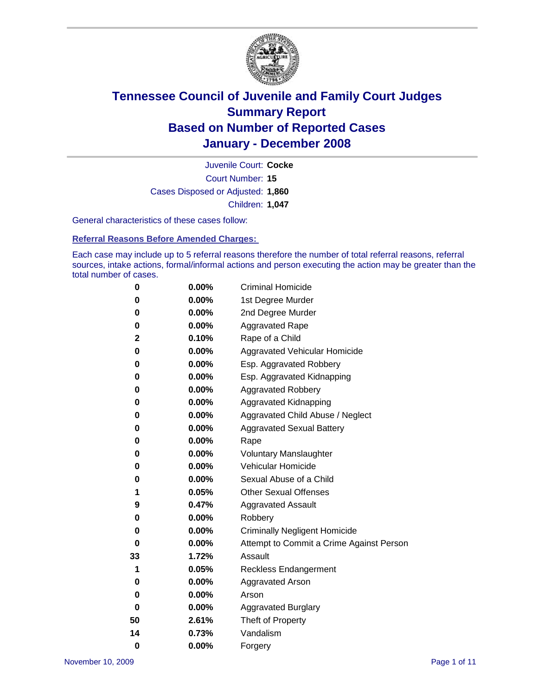

Court Number: **15** Juvenile Court: **Cocke** Cases Disposed or Adjusted: **1,860** Children: **1,047**

General characteristics of these cases follow:

**Referral Reasons Before Amended Charges:** 

Each case may include up to 5 referral reasons therefore the number of total referral reasons, referral sources, intake actions, formal/informal actions and person executing the action may be greater than the total number of cases.

| 0        | 0.00%    | <b>Criminal Homicide</b>                 |
|----------|----------|------------------------------------------|
| 0        | 0.00%    | 1st Degree Murder                        |
| 0        | 0.00%    | 2nd Degree Murder                        |
| 0        | 0.00%    | <b>Aggravated Rape</b>                   |
| 2        | 0.10%    | Rape of a Child                          |
| 0        | 0.00%    | Aggravated Vehicular Homicide            |
| 0        | 0.00%    | Esp. Aggravated Robbery                  |
| 0        | 0.00%    | Esp. Aggravated Kidnapping               |
| 0        | 0.00%    | <b>Aggravated Robbery</b>                |
| 0        | 0.00%    | Aggravated Kidnapping                    |
| 0        | 0.00%    | Aggravated Child Abuse / Neglect         |
| 0        | 0.00%    | <b>Aggravated Sexual Battery</b>         |
| 0        | 0.00%    | Rape                                     |
| 0        | 0.00%    | <b>Voluntary Manslaughter</b>            |
| 0        | 0.00%    | Vehicular Homicide                       |
| 0        | $0.00\%$ | Sexual Abuse of a Child                  |
| 1        | 0.05%    | <b>Other Sexual Offenses</b>             |
| 9        | 0.47%    | <b>Aggravated Assault</b>                |
| 0        | 0.00%    | Robbery                                  |
| 0        | $0.00\%$ | <b>Criminally Negligent Homicide</b>     |
| 0        | 0.00%    | Attempt to Commit a Crime Against Person |
| 33       | 1.72%    | Assault                                  |
| 1        | 0.05%    | <b>Reckless Endangerment</b>             |
| 0        | $0.00\%$ | <b>Aggravated Arson</b>                  |
| 0        | 0.00%    | Arson                                    |
| 0        | 0.00%    | <b>Aggravated Burglary</b>               |
| 50       | 2.61%    | Theft of Property                        |
| 14       | 0.73%    | Vandalism                                |
| $\bf{0}$ | 0.00%    | Forgery                                  |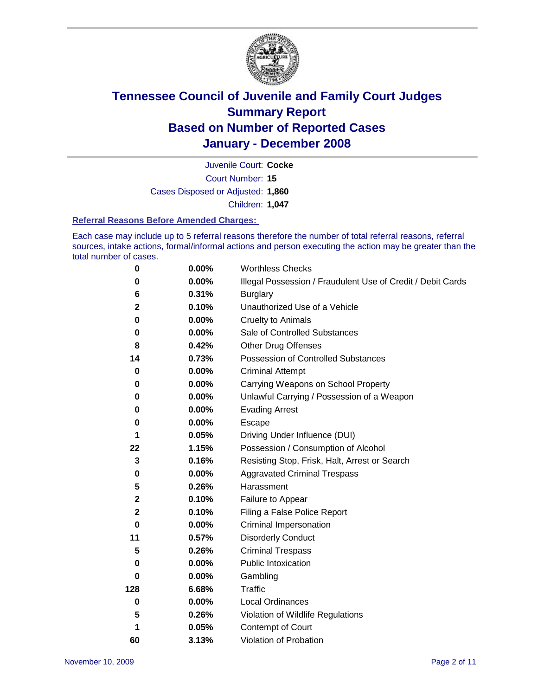

Court Number: **15** Juvenile Court: **Cocke** Cases Disposed or Adjusted: **1,860** Children: **1,047**

#### **Referral Reasons Before Amended Charges:**

Each case may include up to 5 referral reasons therefore the number of total referral reasons, referral sources, intake actions, formal/informal actions and person executing the action may be greater than the total number of cases.

| 0           | 0.00%    | <b>Worthless Checks</b>                                     |  |  |  |
|-------------|----------|-------------------------------------------------------------|--|--|--|
| 0           | $0.00\%$ | Illegal Possession / Fraudulent Use of Credit / Debit Cards |  |  |  |
| 6           | 0.31%    | <b>Burglary</b>                                             |  |  |  |
| $\mathbf 2$ | 0.10%    | Unauthorized Use of a Vehicle                               |  |  |  |
| 0           | 0.00%    | <b>Cruelty to Animals</b>                                   |  |  |  |
| 0           | $0.00\%$ | Sale of Controlled Substances                               |  |  |  |
| 8           | 0.42%    | <b>Other Drug Offenses</b>                                  |  |  |  |
| 14          | 0.73%    | Possession of Controlled Substances                         |  |  |  |
| 0           | $0.00\%$ | <b>Criminal Attempt</b>                                     |  |  |  |
| 0           | 0.00%    | Carrying Weapons on School Property                         |  |  |  |
| 0           | 0.00%    | Unlawful Carrying / Possession of a Weapon                  |  |  |  |
| $\bf{0}$    | $0.00\%$ | <b>Evading Arrest</b>                                       |  |  |  |
| 0           | 0.00%    | Escape                                                      |  |  |  |
| 1           | 0.05%    | Driving Under Influence (DUI)                               |  |  |  |
| 22          | 1.15%    | Possession / Consumption of Alcohol                         |  |  |  |
| 3           | 0.16%    | Resisting Stop, Frisk, Halt, Arrest or Search               |  |  |  |
| 0           | 0.00%    | <b>Aggravated Criminal Trespass</b>                         |  |  |  |
| 5           | 0.26%    | Harassment                                                  |  |  |  |
| $\mathbf 2$ | 0.10%    | Failure to Appear                                           |  |  |  |
| $\mathbf 2$ | 0.10%    | Filing a False Police Report                                |  |  |  |
| $\bf{0}$    | $0.00\%$ | Criminal Impersonation                                      |  |  |  |
| 11          | 0.57%    | <b>Disorderly Conduct</b>                                   |  |  |  |
| 5           | 0.26%    | <b>Criminal Trespass</b>                                    |  |  |  |
| 0           | 0.00%    | Public Intoxication                                         |  |  |  |
| 0           | $0.00\%$ | Gambling                                                    |  |  |  |
| 128         | 6.68%    | Traffic                                                     |  |  |  |
| 0           | $0.00\%$ | Local Ordinances                                            |  |  |  |
| 5           | 0.26%    | Violation of Wildlife Regulations                           |  |  |  |
| 1           | 0.05%    | Contempt of Court                                           |  |  |  |
| 60          | 3.13%    | Violation of Probation                                      |  |  |  |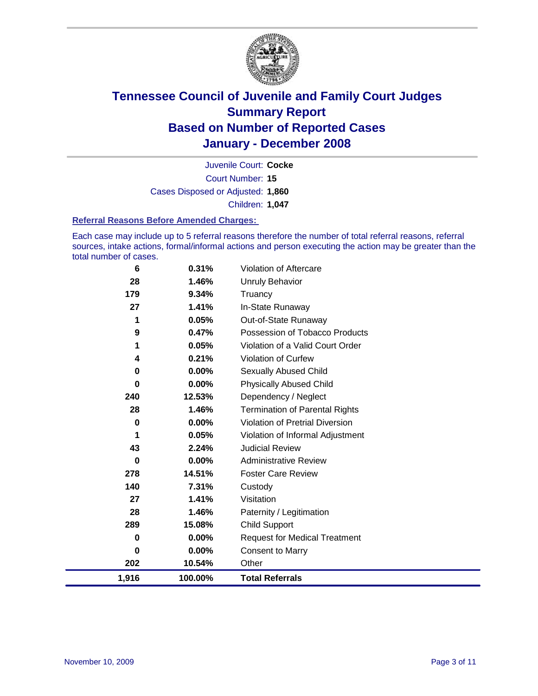

Court Number: **15** Juvenile Court: **Cocke** Cases Disposed or Adjusted: **1,860** Children: **1,047**

#### **Referral Reasons Before Amended Charges:**

Each case may include up to 5 referral reasons therefore the number of total referral reasons, referral sources, intake actions, formal/informal actions and person executing the action may be greater than the total number of cases.

| 1,916       | 100.00% | <b>Total Referrals</b>                 |
|-------------|---------|----------------------------------------|
| 202         | 10.54%  | Other                                  |
| 0           | 0.00%   | <b>Consent to Marry</b>                |
| 0           | 0.00%   | <b>Request for Medical Treatment</b>   |
| 289         | 15.08%  | <b>Child Support</b>                   |
| 28          | 1.46%   | Paternity / Legitimation               |
| 27          | 1.41%   | Visitation                             |
| 140         | 7.31%   | Custody                                |
| 278         | 14.51%  | <b>Foster Care Review</b>              |
| 0           | 0.00%   | <b>Administrative Review</b>           |
| 43          | 2.24%   | <b>Judicial Review</b>                 |
| 1           | 0.05%   | Violation of Informal Adjustment       |
| $\bf{0}$    | 0.00%   | <b>Violation of Pretrial Diversion</b> |
| 28          | 1.46%   | <b>Termination of Parental Rights</b>  |
| 240         | 12.53%  | Dependency / Neglect                   |
| $\mathbf 0$ | 0.00%   | <b>Physically Abused Child</b>         |
| 0           | 0.00%   | <b>Sexually Abused Child</b>           |
| 4           | 0.21%   | <b>Violation of Curfew</b>             |
| 1           | 0.05%   | Violation of a Valid Court Order       |
| 9           | 0.47%   | Possession of Tobacco Products         |
| 1           | 0.05%   | Out-of-State Runaway                   |
| 27          | 1.41%   | In-State Runaway                       |
| 179         | 9.34%   | Truancy                                |
| 28          | 1.46%   | <b>Unruly Behavior</b>                 |
| 6           | 0.31%   | Violation of Aftercare                 |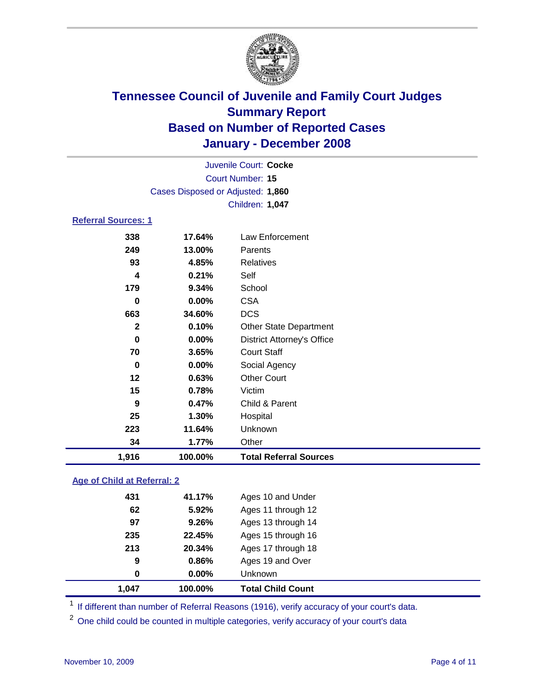

|                            |                                   | Juvenile Court: Cocke             |  |  |  |
|----------------------------|-----------------------------------|-----------------------------------|--|--|--|
|                            | Court Number: 15                  |                                   |  |  |  |
|                            | Cases Disposed or Adjusted: 1,860 |                                   |  |  |  |
|                            |                                   | Children: 1,047                   |  |  |  |
| <b>Referral Sources: 1</b> |                                   |                                   |  |  |  |
| 338                        | 17.64%                            | Law Enforcement                   |  |  |  |
| 249                        | 13.00%                            | Parents                           |  |  |  |
| 93                         | 4.85%                             | <b>Relatives</b>                  |  |  |  |
| 4                          | 0.21%                             | Self                              |  |  |  |
| 179                        | 9.34%                             | School                            |  |  |  |
| 0                          | $0.00\%$                          | <b>CSA</b>                        |  |  |  |
| 663                        | 34.60%                            | <b>DCS</b>                        |  |  |  |
| $\mathbf{2}$               | 0.10%                             | <b>Other State Department</b>     |  |  |  |
| 0                          | $0.00\%$                          | <b>District Attorney's Office</b> |  |  |  |
| 70                         | 3.65%                             | <b>Court Staff</b>                |  |  |  |

 **0.00%** Social Agency **0.63%** Other Court

**0.47%** Child & Parent

 **1.30%** Hospital **11.64%** Unknown

# **1,916 100.00% Total Referral Sources**

### **Age of Child at Referral: 2 41.17%** Ages 10 and Under **5.92%** Ages 11 through 12 **9.26%** Ages 13 through 14 **22.45%** Ages 15 through 16 **20.34%** Ages 17 through 18 **0.86%** Ages 19 and Over **0.00%** Unknown **1,047 100.00% Total Child Count**

**0.78%** Victim

**1.77%** Other

<sup>1</sup> If different than number of Referral Reasons (1916), verify accuracy of your court's data.

<sup>2</sup> One child could be counted in multiple categories, verify accuracy of your court's data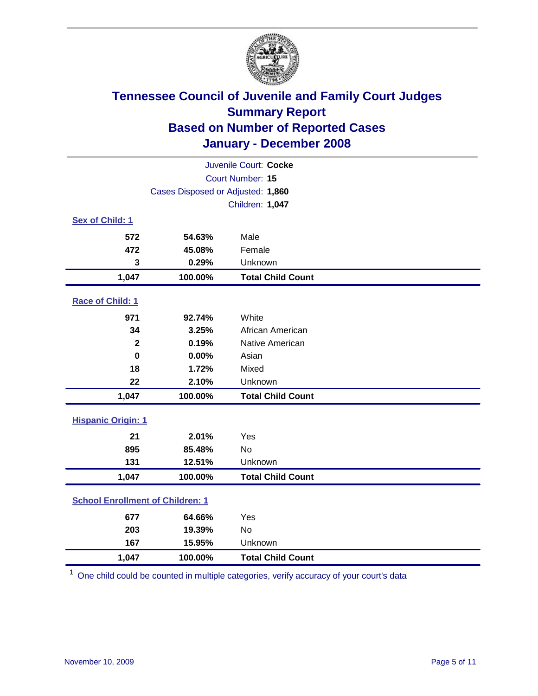

| Juvenile Court: Cocke                   |                                   |                          |  |  |
|-----------------------------------------|-----------------------------------|--------------------------|--|--|
| Court Number: 15                        |                                   |                          |  |  |
|                                         | Cases Disposed or Adjusted: 1,860 |                          |  |  |
|                                         |                                   | Children: 1,047          |  |  |
| Sex of Child: 1                         |                                   |                          |  |  |
| 572                                     | 54.63%                            | Male                     |  |  |
| 472                                     | 45.08%                            | Female                   |  |  |
| 3                                       | 0.29%                             | Unknown                  |  |  |
| 1,047                                   | 100.00%                           | <b>Total Child Count</b> |  |  |
| Race of Child: 1                        |                                   |                          |  |  |
| 971                                     | 92.74%                            | White                    |  |  |
| 34                                      | 3.25%                             | African American         |  |  |
| $\mathbf{2}$                            | 0.19%                             | Native American          |  |  |
| $\bf{0}$                                | 0.00%                             | Asian                    |  |  |
| 18                                      | 1.72%                             | Mixed                    |  |  |
| 22                                      | 2.10%                             | Unknown                  |  |  |
| 1,047                                   | 100.00%                           | <b>Total Child Count</b> |  |  |
| <b>Hispanic Origin: 1</b>               |                                   |                          |  |  |
| 21                                      | 2.01%                             | Yes                      |  |  |
| 895                                     | 85.48%                            | <b>No</b>                |  |  |
| 131                                     | 12.51%                            | Unknown                  |  |  |
| 1,047                                   | 100.00%                           | <b>Total Child Count</b> |  |  |
| <b>School Enrollment of Children: 1</b> |                                   |                          |  |  |
| 677                                     | 64.66%                            | Yes                      |  |  |
| 203                                     | 19.39%                            | No                       |  |  |
| 167                                     | 15.95%                            | Unknown                  |  |  |
| 1,047                                   | 100.00%                           | <b>Total Child Count</b> |  |  |

<sup>1</sup> One child could be counted in multiple categories, verify accuracy of your court's data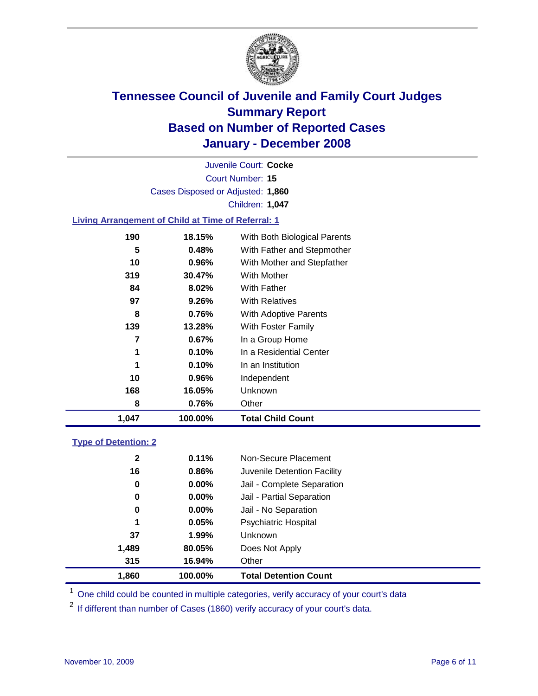

Court Number: **15** Juvenile Court: **Cocke** Cases Disposed or Adjusted: **1,860** Children: **1,047**

#### **Living Arrangement of Child at Time of Referral: 1**

| 1,047 | 100.00%  | <b>Total Child Count</b>     |
|-------|----------|------------------------------|
| 8     | 0.76%    | Other                        |
| 168   | 16.05%   | Unknown                      |
| 10    | $0.96\%$ | Independent                  |
| 1     | 0.10%    | In an Institution            |
| 1     | 0.10%    | In a Residential Center      |
| 7     | 0.67%    | In a Group Home              |
| 139   | 13.28%   | With Foster Family           |
| 8     | 0.76%    | With Adoptive Parents        |
| 97    | 9.26%    | <b>With Relatives</b>        |
| 84    | 8.02%    | With Father                  |
| 319   | 30.47%   | With Mother                  |
| 10    | 0.96%    | With Mother and Stepfather   |
| 5     | 0.48%    | With Father and Stepmother   |
| 190   | 18.15%   | With Both Biological Parents |
|       |          |                              |

#### **Type of Detention: 2**

| 1.860        | 100.00%  | <b>Total Detention Count</b> |  |
|--------------|----------|------------------------------|--|
| 315          | 16.94%   | Other                        |  |
| 1,489        | 80.05%   | Does Not Apply               |  |
| 37           | $1.99\%$ | <b>Unknown</b>               |  |
| 1            | 0.05%    | <b>Psychiatric Hospital</b>  |  |
| 0            | $0.00\%$ | Jail - No Separation         |  |
| 0            | $0.00\%$ | Jail - Partial Separation    |  |
| 0            | $0.00\%$ | Jail - Complete Separation   |  |
| 16           | 0.86%    | Juvenile Detention Facility  |  |
| $\mathbf{2}$ | 0.11%    | Non-Secure Placement         |  |
|              |          |                              |  |

<sup>1</sup> One child could be counted in multiple categories, verify accuracy of your court's data

<sup>2</sup> If different than number of Cases (1860) verify accuracy of your court's data.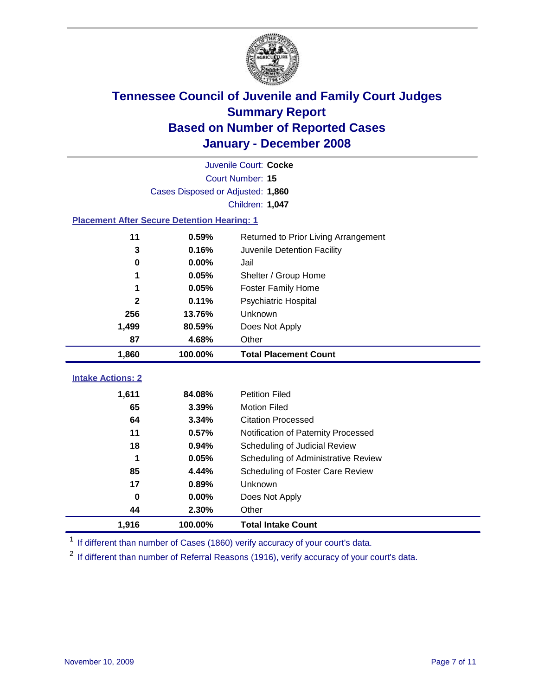

|                                                    | Juvenile Court: Cocke             |                                      |  |  |  |
|----------------------------------------------------|-----------------------------------|--------------------------------------|--|--|--|
|                                                    | Court Number: 15                  |                                      |  |  |  |
|                                                    | Cases Disposed or Adjusted: 1,860 |                                      |  |  |  |
|                                                    |                                   | Children: 1,047                      |  |  |  |
| <b>Placement After Secure Detention Hearing: 1</b> |                                   |                                      |  |  |  |
| 11                                                 | 0.59%                             | Returned to Prior Living Arrangement |  |  |  |
| 3                                                  | 0.16%                             | Juvenile Detention Facility          |  |  |  |
| $\bf{0}$                                           | 0.00%                             | Jail                                 |  |  |  |
|                                                    | 0.05%                             | Shelter / Group Home                 |  |  |  |
| 1                                                  | 0.05%                             | <b>Foster Family Home</b>            |  |  |  |
| $\overline{2}$                                     | 0.11%                             | Psychiatric Hospital                 |  |  |  |
| 256                                                | 13.76%                            | Unknown                              |  |  |  |
| 1,499                                              | 80.59%                            | Does Not Apply                       |  |  |  |
| 87                                                 | 4.68%                             | Other                                |  |  |  |
| 1,860                                              | 100.00%                           | <b>Total Placement Count</b>         |  |  |  |
|                                                    |                                   |                                      |  |  |  |
| <b>Intake Actions: 2</b>                           |                                   |                                      |  |  |  |
| 1,611                                              | 84.08%                            | <b>Petition Filed</b>                |  |  |  |
| 65                                                 | 3.39%                             | <b>Motion Filed</b>                  |  |  |  |
| 64                                                 | 3.34%                             | <b>Citation Processed</b>            |  |  |  |
| 11                                                 | 0.57%                             | Notification of Paternity Processed  |  |  |  |
| 18                                                 | 0.94%                             | Scheduling of Judicial Review        |  |  |  |
| 1                                                  | 0.05%                             | Scheduling of Administrative Review  |  |  |  |
| 85                                                 | 4.44%                             | Scheduling of Foster Care Review     |  |  |  |
| 17                                                 | 0.89%                             | Unknown                              |  |  |  |
| $\mathbf 0$                                        | 0.00%                             | Does Not Apply                       |  |  |  |
| 44                                                 | 2.30%                             | Other                                |  |  |  |
| 1,916                                              | 100.00%                           | <b>Total Intake Count</b>            |  |  |  |

<sup>1</sup> If different than number of Cases (1860) verify accuracy of your court's data.

<sup>2</sup> If different than number of Referral Reasons (1916), verify accuracy of your court's data.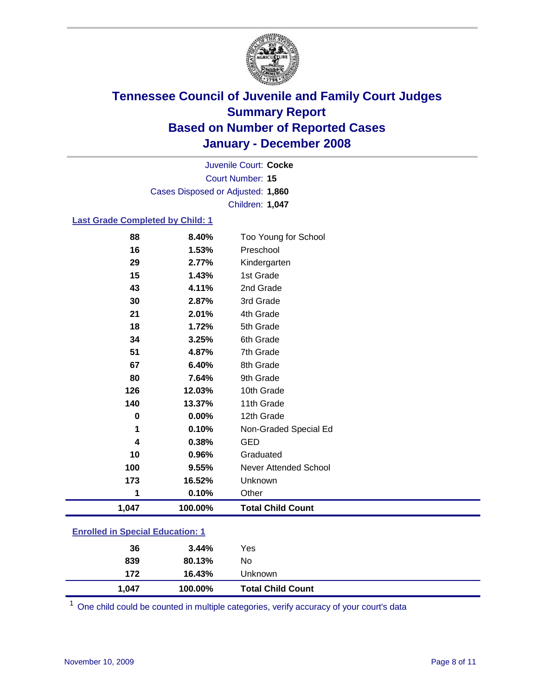

Court Number: **15** Juvenile Court: **Cocke** Cases Disposed or Adjusted: **1,860** Children: **1,047**

#### **Last Grade Completed by Child: 1**

| 4        | 0.38%          | <b>GED</b>                |
|----------|----------------|---------------------------|
| 1        | 0.10%          | Non-Graded Special Ed     |
| 0        | 0.00%          | 12th Grade                |
| 140      | 13.37%         | 11th Grade                |
| 126      | 12.03%         | 10th Grade                |
| 80       | 7.64%          | 9th Grade                 |
| 67       | 6.40%          | 8th Grade                 |
| 51       | 4.87%          | 7th Grade                 |
| 34       | 3.25%          | 6th Grade                 |
| 18       | 1.72%          | 5th Grade                 |
| 21       | 2.01%          | 4th Grade                 |
| 30       | 2.87%          | 3rd Grade                 |
| 43       | 4.11%          | 2nd Grade                 |
| 15       | 1.43%          | 1st Grade                 |
| 16<br>29 | 1.53%<br>2.77% | Preschool<br>Kindergarten |
|          |                |                           |
| 88       | 8.40%          | Too Young for School      |

#### **Enrolled in Special Education: 1**

| 1,047 | 100.00% | <b>Total Child Count</b> |  |
|-------|---------|--------------------------|--|
| 172   | 16.43%  | Unknown                  |  |
| 839   | 80.13%  | No                       |  |
| 36    | 3.44%   | Yes                      |  |
|       |         |                          |  |

<sup>1</sup> One child could be counted in multiple categories, verify accuracy of your court's data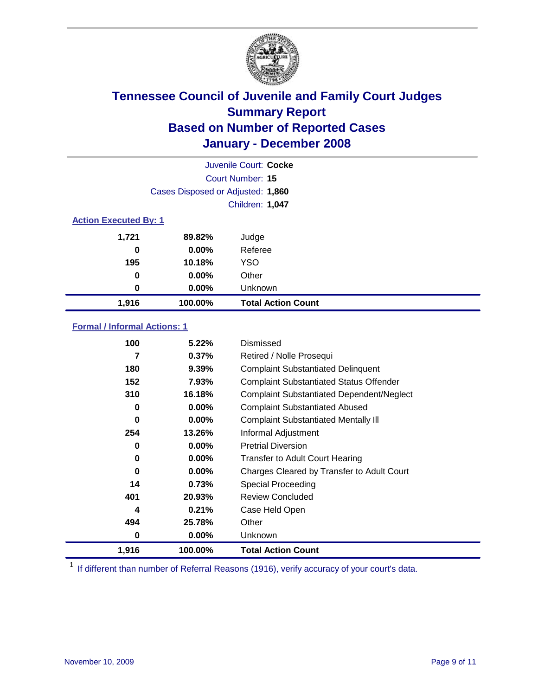

| Juvenile Court: Cocke |                                   |                           |  |  |  |
|-----------------------|-----------------------------------|---------------------------|--|--|--|
|                       | Court Number: 15                  |                           |  |  |  |
|                       | Cases Disposed or Adjusted: 1,860 |                           |  |  |  |
|                       |                                   | Children: 1,047           |  |  |  |
|                       | <b>Action Executed By: 1</b>      |                           |  |  |  |
| 1,721                 | 89.82%                            | Judge                     |  |  |  |
| 0                     | $0.00\%$                          | Referee                   |  |  |  |
| 195                   | 10.18%                            | <b>YSO</b>                |  |  |  |
| $\bf{0}$              | $0.00\%$                          | Other                     |  |  |  |
| 0                     | $0.00\%$                          | Unknown                   |  |  |  |
| 1,916                 | 100.00%                           | <b>Total Action Count</b> |  |  |  |

#### **Formal / Informal Actions: 1**

| 100      | 5.22%    | Dismissed                                        |
|----------|----------|--------------------------------------------------|
| 7        | 0.37%    | Retired / Nolle Prosequi                         |
| 180      | 9.39%    | <b>Complaint Substantiated Delinquent</b>        |
| 152      | 7.93%    | <b>Complaint Substantiated Status Offender</b>   |
| 310      | 16.18%   | <b>Complaint Substantiated Dependent/Neglect</b> |
| 0        | $0.00\%$ | <b>Complaint Substantiated Abused</b>            |
| $\bf{0}$ | $0.00\%$ | <b>Complaint Substantiated Mentally III</b>      |
| 254      | 13.26%   | Informal Adjustment                              |
| 0        | $0.00\%$ | <b>Pretrial Diversion</b>                        |
| 0        | $0.00\%$ | <b>Transfer to Adult Court Hearing</b>           |
| $\bf{0}$ | $0.00\%$ | Charges Cleared by Transfer to Adult Court       |
| 14       | 0.73%    | Special Proceeding                               |
| 401      | 20.93%   | <b>Review Concluded</b>                          |
| 4        | 0.21%    | Case Held Open                                   |
| 494      | 25.78%   | Other                                            |
| 0        | $0.00\%$ | Unknown                                          |
| 1,916    | 100.00%  | <b>Total Action Count</b>                        |

<sup>1</sup> If different than number of Referral Reasons (1916), verify accuracy of your court's data.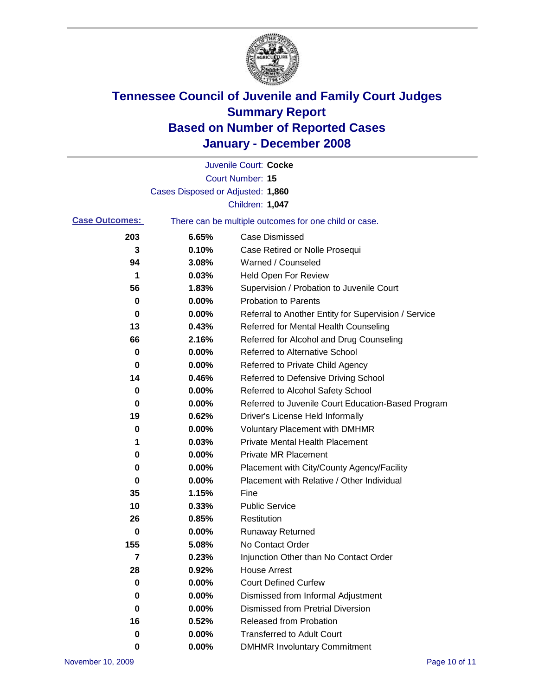

|                       |                                   | Juvenile Court: Cocke                                 |
|-----------------------|-----------------------------------|-------------------------------------------------------|
|                       |                                   | <b>Court Number: 15</b>                               |
|                       | Cases Disposed or Adjusted: 1,860 |                                                       |
|                       |                                   | Children: 1,047                                       |
| <b>Case Outcomes:</b> |                                   | There can be multiple outcomes for one child or case. |
| 203                   | 6.65%                             | <b>Case Dismissed</b>                                 |
| 3                     | 0.10%                             | Case Retired or Nolle Prosequi                        |
| 94                    | 3.08%                             | Warned / Counseled                                    |
| 1                     | 0.03%                             | <b>Held Open For Review</b>                           |
| 56                    | 1.83%                             | Supervision / Probation to Juvenile Court             |
| 0                     | 0.00%                             | <b>Probation to Parents</b>                           |
| 0                     | 0.00%                             | Referral to Another Entity for Supervision / Service  |
| 13                    | 0.43%                             | Referred for Mental Health Counseling                 |
| 66                    | 2.16%                             | Referred for Alcohol and Drug Counseling              |
| 0                     | 0.00%                             | <b>Referred to Alternative School</b>                 |
| 0                     | 0.00%                             | Referred to Private Child Agency                      |
| 14                    | 0.46%                             | Referred to Defensive Driving School                  |
| 0                     | 0.00%                             | Referred to Alcohol Safety School                     |
| 0                     | 0.00%                             | Referred to Juvenile Court Education-Based Program    |
| 19                    | 0.62%                             | Driver's License Held Informally                      |
| 0                     | 0.00%                             | <b>Voluntary Placement with DMHMR</b>                 |
| 1                     | 0.03%                             | <b>Private Mental Health Placement</b>                |
| 0                     | 0.00%                             | <b>Private MR Placement</b>                           |
| 0                     | 0.00%                             | Placement with City/County Agency/Facility            |
| 0                     | 0.00%                             | Placement with Relative / Other Individual            |
| 35                    | 1.15%                             | Fine                                                  |
| 10                    | 0.33%                             | <b>Public Service</b>                                 |
| 26                    | 0.85%                             | Restitution                                           |
| 0                     | 0.00%                             | <b>Runaway Returned</b>                               |
| 155                   | 5.08%                             | No Contact Order                                      |
| 7                     | 0.23%                             | Injunction Other than No Contact Order                |
| 28                    | 0.92%                             | <b>House Arrest</b>                                   |
| 0                     | 0.00%                             | <b>Court Defined Curfew</b>                           |
| 0                     | 0.00%                             | Dismissed from Informal Adjustment                    |
| 0                     | 0.00%                             | <b>Dismissed from Pretrial Diversion</b>              |
| 16                    | 0.52%                             | <b>Released from Probation</b>                        |
| 0                     | 0.00%                             | <b>Transferred to Adult Court</b>                     |
| 0                     | $0.00\%$                          | <b>DMHMR Involuntary Commitment</b>                   |